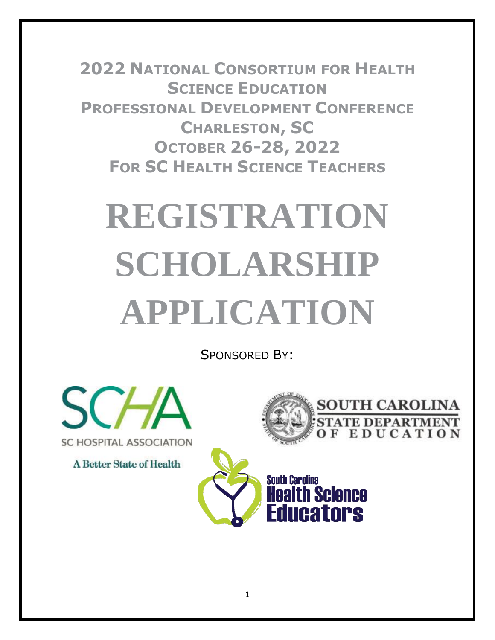**2022 NATIONAL CONSORTIUM FOR HEALTH SCIENCE EDUCATION PROFESSIONAL DEVELOPMENT CONFERENCE CHARLESTON, SC OCTOBER 26-28, 2022 FOR SC HEALTH SCIENCE TEACHERS**

# **REGISTRATION SCHOLARSHIP APPLICATION**

SPONSORED BY:



**A Better State of Health** 



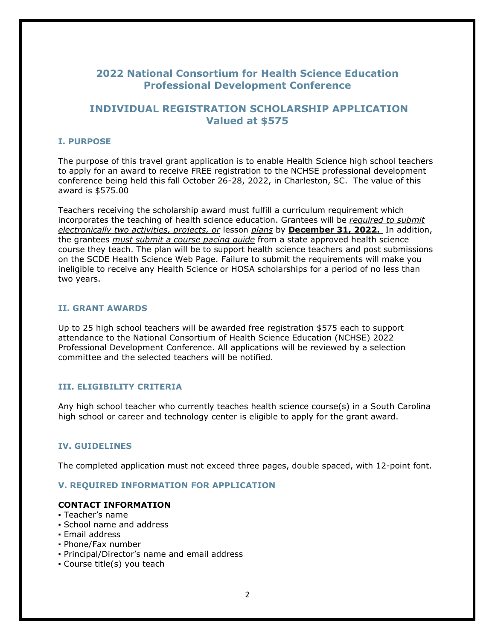# **2022 National Consortium for Health Science Education Professional Development Conference**

## **INDIVIDUAL REGISTRATION SCHOLARSHIP APPLICATION Valued at \$575**

#### **I. PURPOSE**

The purpose of this travel grant application is to enable Health Science high school teachers to apply for an award to receive FREE registration to the NCHSE professional development conference being held this fall October 26-28, 2022, in Charleston, SC. The value of this award is \$575.00

Teachers receiving the scholarship award must fulfill a curriculum requirement which incorporates the teaching of health science education. Grantees will be *required to submit electronically two activities, projects, or* lesson *plans* by **December 31, 2022.** In addition, the grantees *must submit a course pacing guide* from a state approved health science course they teach. The plan will be to support health science teachers and post submissions on the SCDE Health Science Web Page. Failure to submit the requirements will make you ineligible to receive any Health Science or HOSA scholarships for a period of no less than two years.

#### **II. GRANT AWARDS**

Up to 25 high school teachers will be awarded free registration \$575 each to support attendance to the National Consortium of Health Science Education (NCHSE) 2022 Professional Development Conference. All applications will be reviewed by a selection committee and the selected teachers will be notified.

#### **III. ELIGIBILITY CRITERIA**

Any high school teacher who currently teaches health science course(s) in a South Carolina high school or career and technology center is eligible to apply for the grant award.

#### **IV. GUIDELINES**

The completed application must not exceed three pages, double spaced, with 12-point font.

#### **V. REQUIRED INFORMATION FOR APPLICATION**

#### **CONTACT INFORMATION**

- Teacher's name
- School name and address
- Email address
- Phone/Fax number
- Principal/Director's name and email address
- Course title(s) you teach